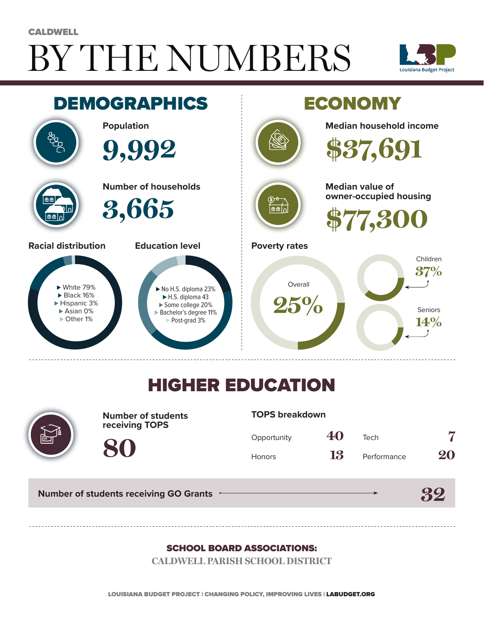# BY THE NUMBERS **CALDWELL**





## HIGHER EDUCATION



**Number of students receiving TOPS**

#### **TOPS breakdown**

| Opportunity   | 40 | Tech        |    |
|---------------|----|-------------|----|
| <b>Honors</b> | 13 | Performance | 20 |

**32**

**Number of students receiving GO Grants**

**80**

#### SCHOOL BOARD ASSOCIATIONS:

**CALDWELL PARISH SCHOOL DISTRICT**